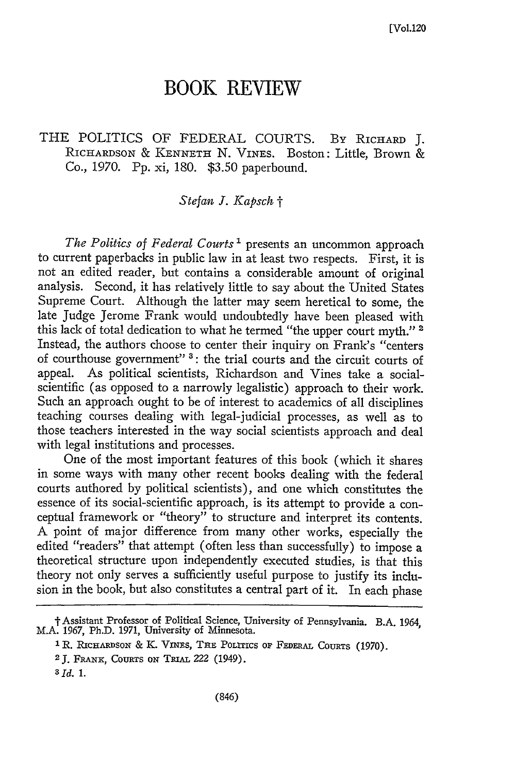## **BOOK REVIEW**

## THE POLITICS OF FEDERAL COURTS. By RICHARD J. RICHARDSON & KENNETH N. VINES. Boston: Little, Brown & Co., 1970. Pp. xi, 180. \$3.50 paperbound.

## *Stefan I. Kapsch t*

*The Politics of Federal Courts*<sup>1</sup> presents an uncommon approach to current paperbacks in public law in at least two respects. First, it is not an edited reader, but contains a considerable amount of original analysis. Second, it has relatively little to say about the United States Supreme Court. Although the latter may seem heretical to some, the late Judge Jerome Frank would undoubtedly have been pleased with this lack of total dedication to what he termed "the upper court myth."<sup>2</sup> Instead, the authors choose to center their inquiry on Frank's "centers of courthouse government" **':** the trial courts and the circuit courts of appeal. As political scientists, Richardson and Vines take a socialscientific (as opposed to a narrowly legalistic) approach to their work. Such an approach ought to be of interest to academics of all disciplines teaching courses dealing with legal-judicial processes, as well as to those teachers interested in the way social scientists approach and deal with legal institutions and processes.

One of the most important features of this book (which it shares in some ways with many other recent books dealing with the federal courts authored by political scientists), and one which constitutes the essence of its social-scientific approach, is its attempt to provide a conceptual framework or "theory" to structure and interpret its contents. A point of major difference from many other works, especially the edited "readers" that attempt (often less than successfully) to impose a theoretical structure upon independently executed studies, is that this theory not only serves a sufficiently useful purpose to justify its inclusion in the book, but also constitutes a central part of it. In each phase

t Assistant Professor of Political Science, University of Pennsylvania. B.A. 1964, M.A. 1967, Ph.D. 1971, University of Minnesota.

**<sup>1</sup>**R. RicHARDSON & *K.* ViNEs, **THE** PoLics op **FEDEAL** COURTS (1970).

<sup>2</sup> **J.** FRANx, COURTs **ON** TRiAL *222* (1949).

*<sup>3</sup>Id. 1.*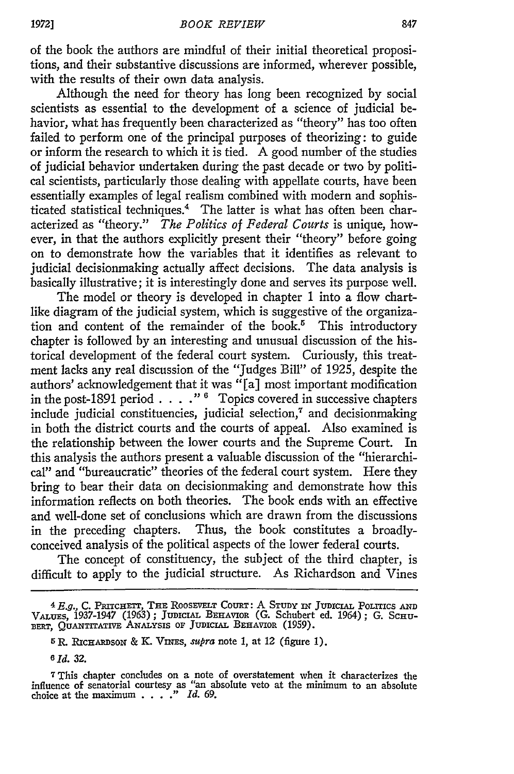of the book the authors are mindful of their initial theoretical propositions, and their substantive discussions are informed, wherever possible, with the results of their own data analysis.

Although the need for theory has long been recognized by social scientists as essential to the development of a science of judicial behavior, what has frequently been characterized as "theory" has too often failed to perform one of the principal purposes of theorizing: to guide or inform the research to which it is tied. A good number of the studies of judicial behavior undertaken during the past decade or two by political scientists, particularly those dealing with appellate courts, have been essentially examples of legal realism combined with modern and sophisticated statistical techniques.4 The latter is what has often been characterized as "theory." *The Politics of Federal Courts* is unique, however, in that the authors explicitly present their "theory" before going on to demonstrate how the variables that it identifies as relevant to judicial decisionmaking actually affect decisions. The data analysis is basically illustrative; it is interestingly done and serves its purpose well.

The model or theory is developed in chapter 1 into a flow chartlike diagram of the judicial system, which is suggestive of the organization and content of the remainder of the book.<sup>5</sup> This introductory chapter is followed by an interesting and unusual discussion of the historical development of the federal court system. Curiously, this treatment lacks any real discussion of the "Judges Bill" of 1925, despite the authors' acknowledgement that it was "[a] most important modification in the post-1891 period **....** *,"* **6** Topics covered in successive chapters include judicial constituencies, judicial selection,<sup> $\tau$ </sup> and decisionmaking in both the district courts and the courts of appeal. Also examined is the relationship between the lower courts and the Supreme Court. In this analysis the authors present a valuable discussion of the "hierarchical" and "bureaucratic" theories of the federal court system. Here they bring to bear their data on decisionmaking and demonstrate how this information reflects on both theories. The book ends with an effective and well-done set of conclusions which are drawn from the discussions in the preceding chapters. Thus, the book constitutes a broadlyconceived analysis of the political aspects of the lower federal courts.

The concept of constituency, the subject of the third chapter, is difficult to apply to the judicial structure. As Richardson and Vines

*<sup>4</sup> E.g.,* C. PRrrcnErr, THE ROOSEVELT COURT: A **STUDY IN JUDICIAL. POLITICS AND** VALUES, 1937-1947 (1963); JUDICIAL BEHAVIOR (G. Schubert ed. 1964); G. SCHU-BERT, **QUANTITATIVE** ANALYSIS OF JUDICIAL BEHAVIOR (1959).

<sup>5</sup>R. **RICHARDSON** & K. VnEs, *supra* note 1, at 12 (figure 1).

*<sup>6</sup> Id.* 32.

**<sup>7</sup>**This chapter **concludes** on a note **of** overstatement when it characterizes the influence of senatorial courtesy as "an absolute veto at the minimum to an absolute choice at the maximum . **. . ."** *Id.* 69.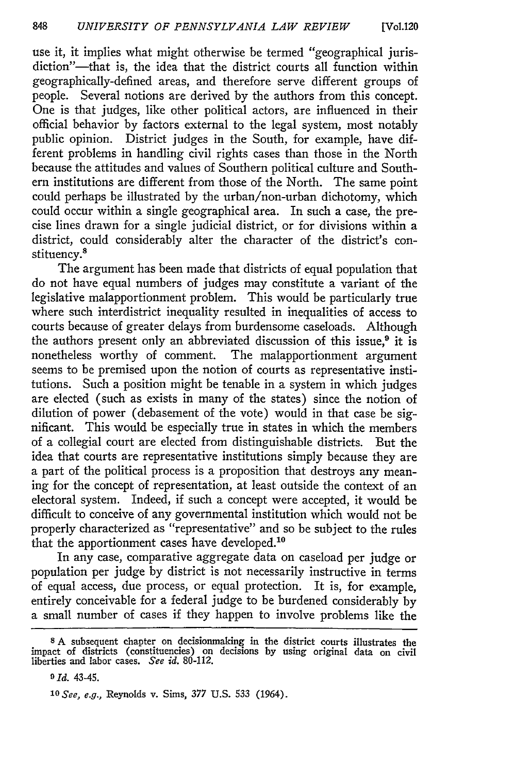use it, it implies what might otherwise be termed "geographical jurisdiction"-that is, the idea that the district courts all function within geographically-defined areas, and therefore serve different groups of people. Several notions are derived by the authors from this concept. One is that judges, like other political actors, are influenced in their official behavior by factors external to the legal system, most notably public opinion. District judges in the South, for example, have different problems in handling civil rights cases than those in the North because the attitudes and values of Southern political culture and Southern institutions are different from those of the North. The same point could perhaps be illustrated by the urban/non-urban dichotomy, which could occur within a single geographical area. In such a case, the precise lines drawn for a single judicial district, or for divisions within a district, could considerably alter the character of the district's constituency.<sup>8</sup>

The argument has been made that districts of equal population that do not have equal numbers of judges may constitute a variant of the legislative malapportionment problem. This would be particularly true where such interdistrict inequality resulted in inequalities of access to courts because of greater delays from burdensome caseloads. Although the authors present only an abbreviated discussion of this issue, $9$  it is nonetheless worthy of comment. The malapportionment argument seems to be premised upon the notion of courts as representative institutions. Such a position might be tenable in a system in which judges are elected (such as exists in many of the states) since the notion of dilution of power (debasement of the vote) would in that case be significant. This would be especially true in states in which the members of a collegial court are elected from distinguishable districts. But the idea that courts are representative institutions simply because they are a part of the political process is a proposition that destroys any meaning for the concept of representation, at least outside the context of an electoral system. Indeed, if such a concept were accepted, it would be difficult to conceive of any governmental institution which would not be properly characterized as "representative" and so be subject to the rules that the apportionment cases have developed.<sup>10</sup>

In any case, comparative aggregate data on caseload per judge or population per judge **by** district is not necessarily instructive in terms of equal access, due process, or equal protection. It is, for example, entirely conceivable for a federal judge to be burdened considerably **by** a small number of cases if they happen to involve problems like the

**<sup>8</sup>**A subsequent chapter on decisionmaking in the district courts illustrates the impact of districts (constituencies) on decisions **by** using original data on civil liberties and labor cases. *See id.* 80-112.

*a Id.* 43-45.

*<sup>10</sup> See, e.g.,* Reynolds v. Sims, *377* U.S. 533 (1964).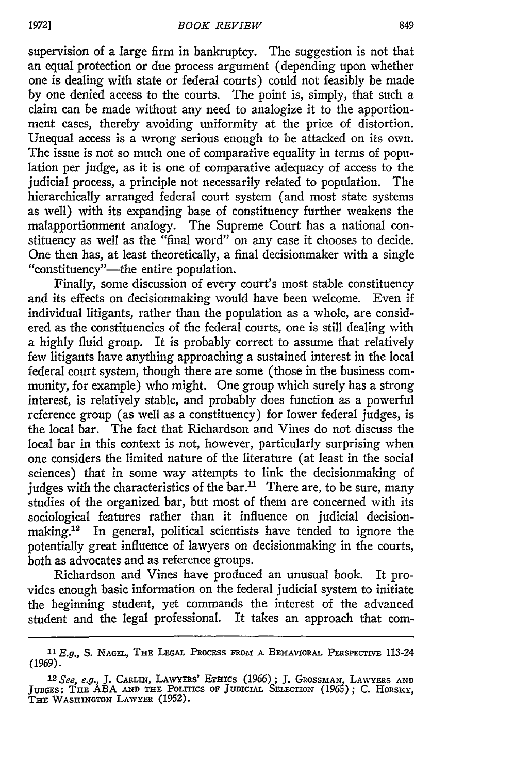supervision of a large firm in bankruptcy. The suggestion is not that an equal protection or due process argument (depending upon whether one is dealing with state or federal courts) could not feasibly be made by one denied access to the courts. The point is, simply, that such a claim can be made without any need to analogize it to the apportionment cases, thereby avoiding uniformity at the price of distortion. Unequal access is a wrong serious enough to be attacked on its own. The issue is not so much one of comparative equality in terms of population per judge, as it is one of comparative adequacy of access to the judicial process, a principle not necessarily related to population. The hierarchically arranged federal court system (and most state systems as well) with its expanding base of constituency further weakens the malapportionment analogy. The Supreme Court has a national constituency as well as the "final word" on any case it chooses to decide. One then has, at least theoretically, a final decisionmaker with a single "constituency"—the entire population.

Finally, some discussion of every court's most stable constituency and its effects on decisionmaking would have been welcome. Even if individual litigants, rather than the population as a whole, are considered as the constituencies of the federal courts, one is still dealing with a highly fluid group. It is probably correct to assume that relatively few litigants have anything approaching a sustained interest in the local federal court system, though there are some (those in the business community, for example) who might. One group which surely has a strong interest, is relatively stable, and probably does function as a powerful reference group (as well as a constituency) for lower federal judges, is the local bar. The fact that Richardson and Vines do not discuss the local bar in this context is not, however, particularly surprising when one considers the limited nature of the literature (at least in the social sciences) that in some way attempts to link the decisionmaking of judges with the characteristics of the  $bar.$ <sup>11</sup> There are, to be sure, many studies of the organized bar, but most of them are concerned with its sociological features rather than it influence on judicial decisionmaking.<sup>12</sup> In general, political scientists have tended to ignore the potentially great influence of lawyers on decisionmaking in the courts, both as advocates and as reference groups.

Richardson and Vines have produced an unusual book. It provides enough basic information on the federal judicial system to initiate the beginning student, yet commands the interest of the advanced student and the legal professional. It takes an approach that com-

*<sup>1</sup> <sup>1</sup> E.g.,* S. **NAGEL, THE LEGAL PROCESS** FROX **A BEHAvIORAL PERsPEcTIVE** 113-24 (1969).

<sup>.&</sup>lt;br><sup>12</sup> See, e.g., T. Carlin, Lawyers' Ethics (1966); T. Grossman, Lawyers ani **JUDGES: THE** ABA **AND THE** PoLITIcs oF **JUDIcIAL SELEcT ON** (1965); C. **HORSKY, THE** WASHINGTON **LAWYER** (1952).